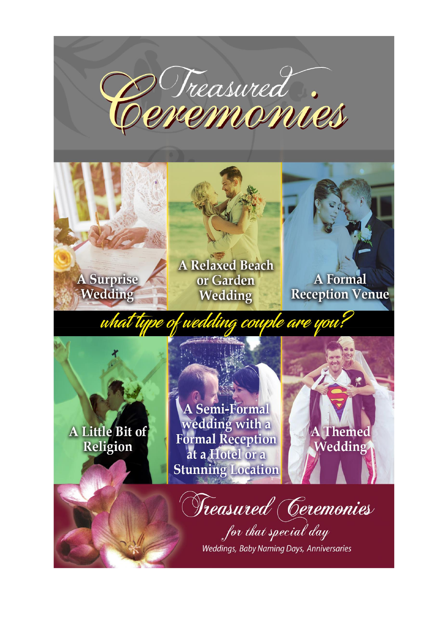





A Relaxed Beach or Garden Wedding



**Reception Venue** 

what type of wea ng couple are you

A Little Bit of Religion

A Semi-Formal wedding with a **Formal Reception** at a Hotel or a **Stunning Location** 

Themed Wedding

Treasured (Ceremonies

for that special day Weddings, Baby Naming Days, Anniversaries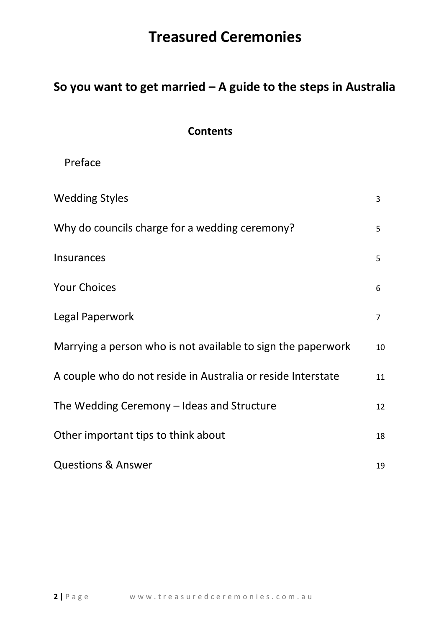## **So you want to get married – A guide to the steps in Australia**

## **Contents**

| Preface |
|---------|
|---------|

| <b>Wedding Styles</b>                                        | 3              |
|--------------------------------------------------------------|----------------|
| Why do councils charge for a wedding ceremony?               | 5              |
| <b>Insurances</b>                                            | 5              |
| <b>Your Choices</b>                                          | 6              |
| Legal Paperwork                                              | $\overline{7}$ |
| Marrying a person who is not available to sign the paperwork | 10             |
| A couple who do not reside in Australia or reside Interstate | 11             |
| The Wedding Ceremony - Ideas and Structure                   | 12             |
| Other important tips to think about                          | 18             |
| <b>Questions &amp; Answer</b>                                | 19             |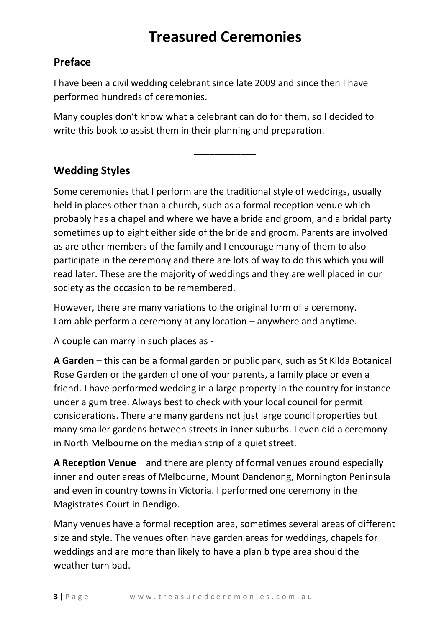## **Preface**

I have been a civil wedding celebrant since late 2009 and since then I have performed hundreds of ceremonies.

Many couples don't know what a celebrant can do for them, so I decided to write this book to assist them in their planning and preparation.

\_\_\_\_\_\_\_\_\_\_\_\_

## **Wedding Styles**

Some ceremonies that I perform are the traditional style of weddings, usually held in places other than a church, such as a formal reception venue which probably has a chapel and where we have a bride and groom, and a bridal party sometimes up to eight either side of the bride and groom. Parents are involved as are other members of the family and I encourage many of them to also participate in the ceremony and there are lots of way to do this which you will read later. These are the majority of weddings and they are well placed in our society as the occasion to be remembered.

However, there are many variations to the original form of a ceremony. I am able perform a ceremony at any location – anywhere and anytime.

A couple can marry in such places as -

**A Garden** – this can be a formal garden or public park, such as St Kilda Botanical Rose Garden or the garden of one of your parents, a family place or even a friend. I have performed wedding in a large property in the country for instance under a gum tree. Always best to check with your local council for permit considerations. There are many gardens not just large council properties but many smaller gardens between streets in inner suburbs. I even did a ceremony in North Melbourne on the median strip of a quiet street.

**A Reception Venue** – and there are plenty of formal venues around especially inner and outer areas of Melbourne, Mount Dandenong, Mornington Peninsula and even in country towns in Victoria. I performed one ceremony in the Magistrates Court in Bendigo.

Many venues have a formal reception area, sometimes several areas of different size and style. The venues often have garden areas for weddings, chapels for weddings and are more than likely to have a plan b type area should the weather turn bad.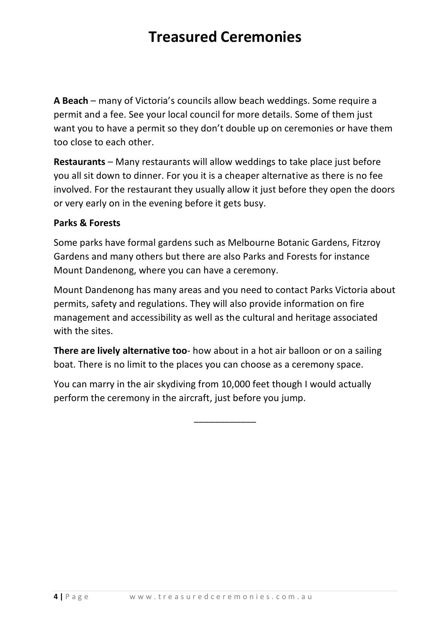**A Beach** – many of Victoria's councils allow beach weddings. Some require a permit and a fee. See your local council for more details. Some of them just want you to have a permit so they don't double up on ceremonies or have them too close to each other.

**Restaurants** – Many restaurants will allow weddings to take place just before you all sit down to dinner. For you it is a cheaper alternative as there is no fee involved. For the restaurant they usually allow it just before they open the doors or very early on in the evening before it gets busy.

### **Parks & Forests**

Some parks have formal gardens such as Melbourne Botanic Gardens, Fitzroy Gardens and many others but there are also Parks and Forests for instance Mount Dandenong, where you can have a ceremony.

Mount Dandenong has many areas and you need to contact Parks Victoria about permits, safety and regulations. They will also provide information on fire management and accessibility as well as the cultural and heritage associated with the sites.

**There are lively alternative too**- how about in a hot air balloon or on a sailing boat. There is no limit to the places you can choose as a ceremony space.

You can marry in the air skydiving from 10,000 feet though I would actually perform the ceremony in the aircraft, just before you jump.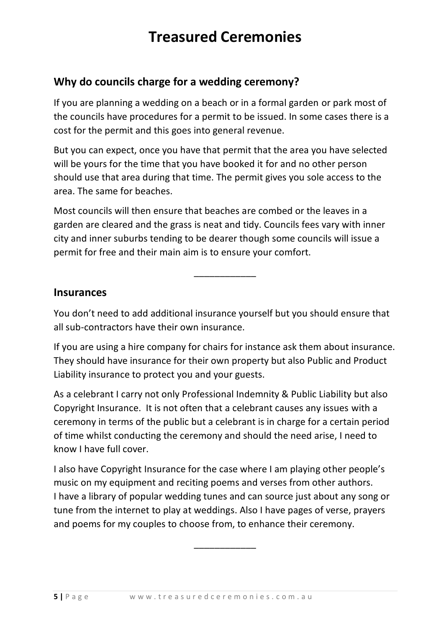## **Why do councils charge for a wedding ceremony?**

If you are planning a wedding on a beach or in a formal garden or park most of the councils have procedures for a permit to be issued. In some cases there is a cost for the permit and this goes into general revenue.

But you can expect, once you have that permit that the area you have selected will be yours for the time that you have booked it for and no other person should use that area during that time. The permit gives you sole access to the area. The same for beaches.

Most councils will then ensure that beaches are combed or the leaves in a garden are cleared and the grass is neat and tidy. Councils fees vary with inner city and inner suburbs tending to be dearer though some councils will issue a permit for free and their main aim is to ensure your comfort.

### **Insurances**

You don't need to add additional insurance yourself but you should ensure that all sub-contractors have their own insurance.

\_\_\_\_\_\_\_\_\_\_\_\_

If you are using a hire company for chairs for instance ask them about insurance. They should have insurance for their own property but also Public and Product Liability insurance to protect you and your guests.

As a celebrant I carry not only Professional Indemnity & Public Liability but also Copyright Insurance. It is not often that a celebrant causes any issues with a ceremony in terms of the public but a celebrant is in charge for a certain period of time whilst conducting the ceremony and should the need arise, I need to know I have full cover.

I also have Copyright Insurance for the case where I am playing other people's music on my equipment and reciting poems and verses from other authors. I have a library of popular wedding tunes and can source just about any song or tune from the internet to play at weddings. Also I have pages of verse, prayers and poems for my couples to choose from, to enhance their ceremony.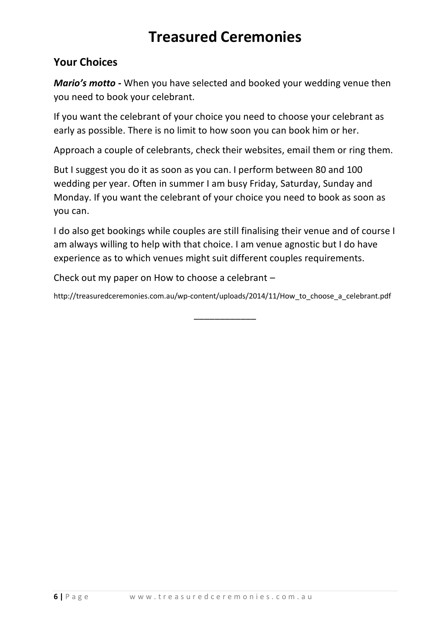## **Your Choices**

*Mario's motto* **-** When you have selected and booked your wedding venue then you need to book your celebrant.

If you want the celebrant of your choice you need to choose your celebrant as early as possible. There is no limit to how soon you can book him or her.

Approach a couple of celebrants, check their websites, email them or ring them.

But I suggest you do it as soon as you can. I perform between 80 and 100 wedding per year. Often in summer I am busy Friday, Saturday, Sunday and Monday. If you want the celebrant of your choice you need to book as soon as you can.

I do also get bookings while couples are still finalising their venue and of course I am always willing to help with that choice. I am venue agnostic but I do have experience as to which venues might suit different couples requirements.

Check out my paper on How to choose a celebrant –

http://treasuredceremonies.com.au/wp-content/uploads/2014/11/How\_to\_choose\_a\_celebrant.pdf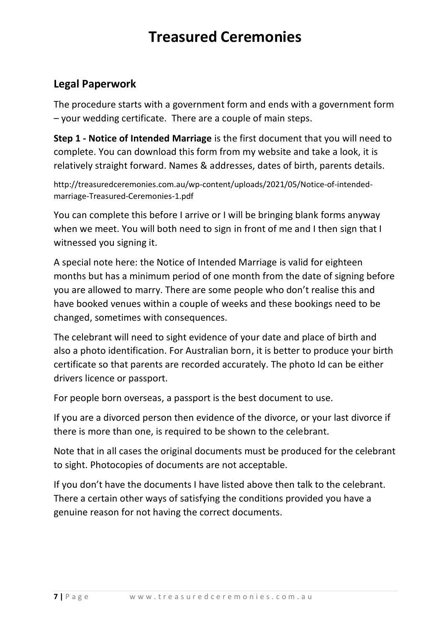## **Legal Paperwork**

The procedure starts with a government form and ends with a government form – your wedding certificate. There are a couple of main steps.

**Step 1 - Notice of Intended Marriage** is the first document that you will need to complete. You can download this form from my website and take a look, it is relatively straight forward. Names & addresses, dates of birth, parents details.

http://treasuredceremonies.com.au/wp-content/uploads/2021/05/Notice-of-intendedmarriage-Treasured-Ceremonies-1.pdf

You can complete this before I arrive or I will be bringing blank forms anyway when we meet. You will both need to sign in front of me and I then sign that I witnessed you signing it.

A special note here: the Notice of Intended Marriage is valid for eighteen months but has a minimum period of one month from the date of signing before you are allowed to marry. There are some people who don't realise this and have booked venues within a couple of weeks and these bookings need to be changed, sometimes with consequences.

The celebrant will need to sight evidence of your date and place of birth and also a photo identification. For Australian born, it is better to produce your birth certificate so that parents are recorded accurately. The photo Id can be either drivers licence or passport.

For people born overseas, a passport is the best document to use.

If you are a divorced person then evidence of the divorce, or your last divorce if there is more than one, is required to be shown to the celebrant.

Note that in all cases the original documents must be produced for the celebrant to sight. Photocopies of documents are not acceptable.

If you don't have the documents I have listed above then talk to the celebrant. There a certain other ways of satisfying the conditions provided you have a genuine reason for not having the correct documents.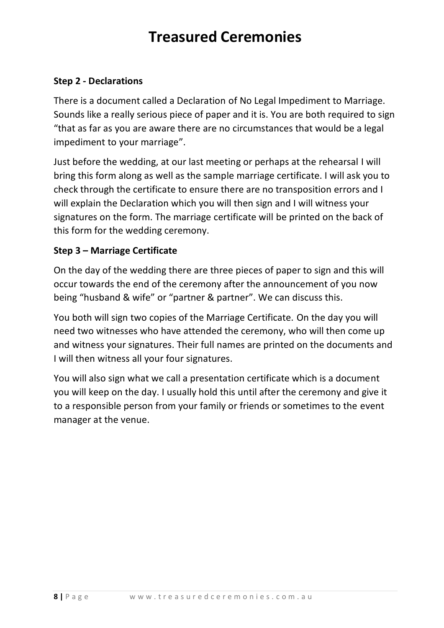### **Step 2 - Declarations**

There is a document called a Declaration of No Legal Impediment to Marriage. Sounds like a really serious piece of paper and it is. You are both required to sign "that as far as you are aware there are no circumstances that would be a legal impediment to your marriage".

Just before the wedding, at our last meeting or perhaps at the rehearsal I will bring this form along as well as the sample marriage certificate. I will ask you to check through the certificate to ensure there are no transposition errors and I will explain the Declaration which you will then sign and I will witness your signatures on the form. The marriage certificate will be printed on the back of this form for the wedding ceremony.

### **Step 3 – Marriage Certificate**

On the day of the wedding there are three pieces of paper to sign and this will occur towards the end of the ceremony after the announcement of you now being "husband & wife" or "partner & partner". We can discuss this.

You both will sign two copies of the Marriage Certificate. On the day you will need two witnesses who have attended the ceremony, who will then come up and witness your signatures. Their full names are printed on the documents and I will then witness all your four signatures.

You will also sign what we call a presentation certificate which is a document you will keep on the day. I usually hold this until after the ceremony and give it to a responsible person from your family or friends or sometimes to the event manager at the venue.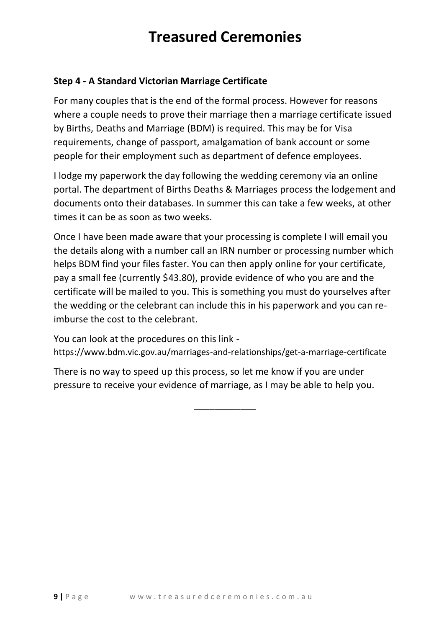### **Step 4 - A Standard Victorian Marriage Certificate**

For many couples that is the end of the formal process. However for reasons where a couple needs to prove their marriage then a marriage certificate issued by Births, Deaths and Marriage (BDM) is required. This may be for Visa requirements, change of passport, amalgamation of bank account or some people for their employment such as department of defence employees.

I lodge my paperwork the day following the wedding ceremony via an online portal. The department of Births Deaths & Marriages process the lodgement and documents onto their databases. In summer this can take a few weeks, at other times it can be as soon as two weeks.

Once I have been made aware that your processing is complete I will email you the details along with a number call an IRN number or processing number which helps BDM find your files faster. You can then apply online for your certificate, pay a small fee (currently \$43.80), provide evidence of who you are and the certificate will be mailed to you. This is something you must do yourselves after the wedding or the celebrant can include this in his paperwork and you can reimburse the cost to the celebrant.

You can look at the procedures on this link https://www.bdm.vic.gov.au/marriages-and-relationships/get-a-marriage-certificate

\_\_\_\_\_\_\_\_\_\_\_\_

There is no way to speed up this process, so let me know if you are under pressure to receive your evidence of marriage, as I may be able to help you.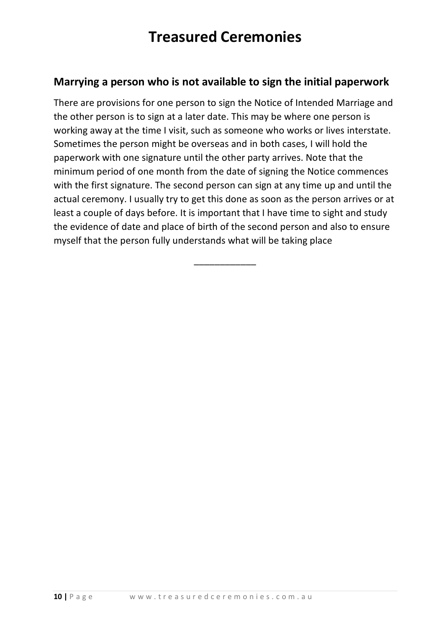### **Marrying a person who is not available to sign the initial paperwork**

There are provisions for one person to sign the Notice of Intended Marriage and the other person is to sign at a later date. This may be where one person is working away at the time I visit, such as someone who works or lives interstate. Sometimes the person might be overseas and in both cases, I will hold the paperwork with one signature until the other party arrives. Note that the minimum period of one month from the date of signing the Notice commences with the first signature. The second person can sign at any time up and until the actual ceremony. I usually try to get this done as soon as the person arrives or at least a couple of days before. It is important that I have time to sight and study the evidence of date and place of birth of the second person and also to ensure myself that the person fully understands what will be taking place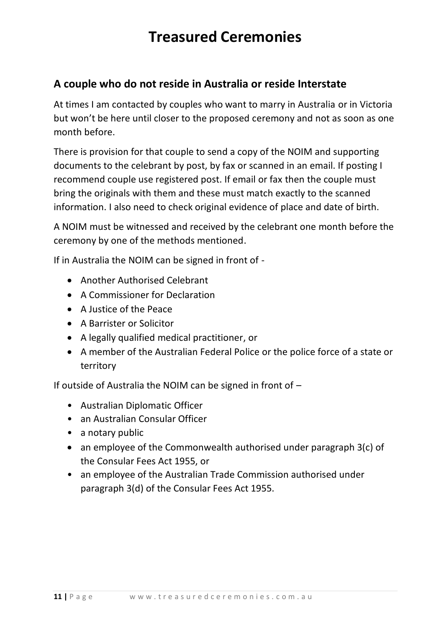## **A couple who do not reside in Australia or reside Interstate**

At times I am contacted by couples who want to marry in Australia or in Victoria but won't be here until closer to the proposed ceremony and not as soon as one month before.

There is provision for that couple to send a copy of the NOIM and supporting documents to the celebrant by post, by fax or scanned in an email. If posting I recommend couple use registered post. If email or fax then the couple must bring the originals with them and these must match exactly to the scanned information. I also need to check original evidence of place and date of birth.

A NOIM must be witnessed and received by the celebrant one month before the ceremony by one of the methods mentioned.

If in Australia the NOIM can be signed in front of -

- Another Authorised Celebrant
- A Commissioner for Declaration
- A Justice of the Peace
- A Barrister or Solicitor
- A legally qualified medical practitioner, or
- A member of the Australian Federal Police or the police force of a state or territory

If outside of Australia the NOIM can be signed in front of –

- Australian Diplomatic Officer
- an Australian Consular Officer
- a notary public
- an employee of the Commonwealth authorised under paragraph 3(c) of the Consular Fees Act 1955, or
- an employee of the Australian Trade Commission authorised under paragraph 3(d) of the Consular Fees Act 1955.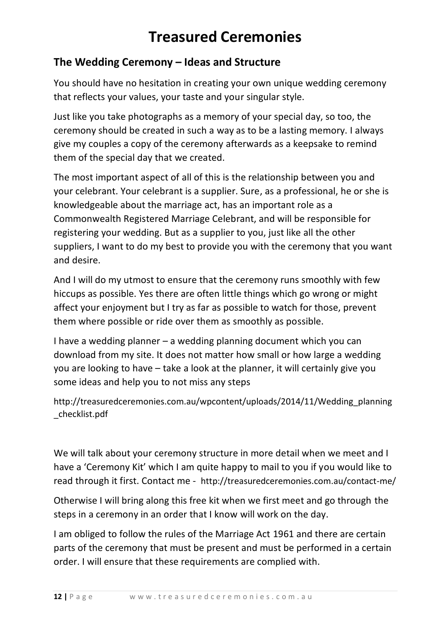## **The Wedding Ceremony – Ideas and Structure**

You should have no hesitation in creating your own unique wedding ceremony that reflects your values, your taste and your singular style.

Just like you take photographs as a memory of your special day, so too, the ceremony should be created in such a way as to be a lasting memory. I always give my couples a copy of the ceremony afterwards as a keepsake to remind them of the special day that we created.

The most important aspect of all of this is the relationship between you and your celebrant. Your celebrant is a supplier. Sure, as a professional, he or she is knowledgeable about the marriage act, has an important role as a Commonwealth Registered Marriage Celebrant, and will be responsible for registering your wedding. But as a supplier to you, just like all the other suppliers, I want to do my best to provide you with the ceremony that you want and desire.

And I will do my utmost to ensure that the ceremony runs smoothly with few hiccups as possible. Yes there are often little things which go wrong or might affect your enjoyment but I try as far as possible to watch for those, prevent them where possible or ride over them as smoothly as possible.

I have a wedding planner – a wedding planning document which you can download from my site. It does not matter how small or how large a wedding you are looking to have – take a look at the planner, it will certainly give you some ideas and help you to not miss any steps

http://treasuredceremonies.com.au/wpcontent/uploads/2014/11/Wedding\_planning \_checklist.pdf

We will talk about your ceremony structure in more detail when we meet and I have a 'Ceremony Kit' which I am quite happy to mail to you if you would like to read through it first. Contact me - http://treasuredceremonies.com.au/contact-me/

Otherwise I will bring along this free kit when we first meet and go through the steps in a ceremony in an order that I know will work on the day.

I am obliged to follow the rules of the Marriage Act 1961 and there are certain parts of the ceremony that must be present and must be performed in a certain order. I will ensure that these requirements are complied with.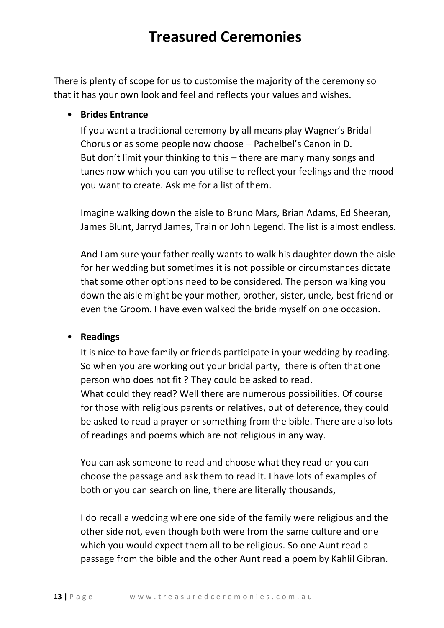There is plenty of scope for us to customise the majority of the ceremony so that it has your own look and feel and reflects your values and wishes.

### • **Brides Entrance**

If you want a traditional ceremony by all means play Wagner's Bridal Chorus or as some people now choose – Pachelbel's Canon in D. But don't limit your thinking to this – there are many many songs and tunes now which you can you utilise to reflect your feelings and the mood you want to create. Ask me for a list of them.

Imagine walking down the aisle to Bruno Mars, Brian Adams, Ed Sheeran, James Blunt, Jarryd James, Train or John Legend. The list is almost endless.

And I am sure your father really wants to walk his daughter down the aisle for her wedding but sometimes it is not possible or circumstances dictate that some other options need to be considered. The person walking you down the aisle might be your mother, brother, sister, uncle, best friend or even the Groom. I have even walked the bride myself on one occasion.

#### • **Readings**

It is nice to have family or friends participate in your wedding by reading. So when you are working out your bridal party, there is often that one person who does not fit ? They could be asked to read. What could they read? Well there are numerous possibilities. Of course for those with religious parents or relatives, out of deference, they could be asked to read a prayer or something from the bible. There are also lots of readings and poems which are not religious in any way.

You can ask someone to read and choose what they read or you can choose the passage and ask them to read it. I have lots of examples of both or you can search on line, there are literally thousands,

I do recall a wedding where one side of the family were religious and the other side not, even though both were from the same culture and one which you would expect them all to be religious. So one Aunt read a passage from the bible and the other Aunt read a poem by Kahlil Gibran.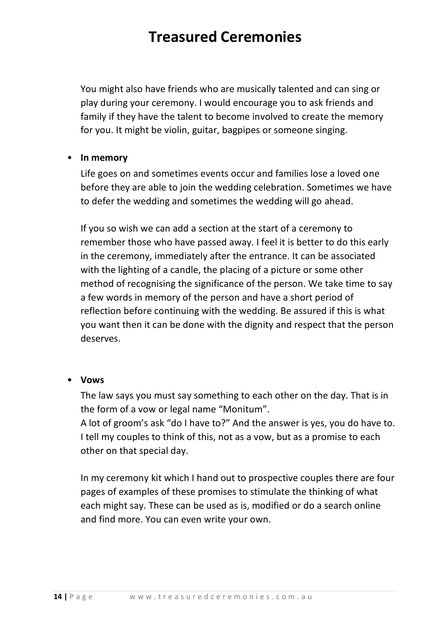You might also have friends who are musically talented and can sing or play during your ceremony. I would encourage you to ask friends and family if they have the talent to become involved to create the memory for you. It might be violin, guitar, bagpipes or someone singing.

#### • **In memory**

Life goes on and sometimes events occur and families lose a loved one before they are able to join the wedding celebration. Sometimes we have to defer the wedding and sometimes the wedding will go ahead.

If you so wish we can add a section at the start of a ceremony to remember those who have passed away. I feel it is better to do this early in the ceremony, immediately after the entrance. It can be associated with the lighting of a candle, the placing of a picture or some other method of recognising the significance of the person. We take time to say a few words in memory of the person and have a short period of reflection before continuing with the wedding. Be assured if this is what you want then it can be done with the dignity and respect that the person deserves.

#### • **Vows**

The law says you must say something to each other on the day. That is in the form of a vow or legal name "Monitum". A lot of groom's ask "do I have to?" And the answer is yes, you do have to.

I tell my couples to think of this, not as a vow, but as a promise to each other on that special day.

In my ceremony kit which I hand out to prospective couples there are four pages of examples of these promises to stimulate the thinking of what each might say. These can be used as is, modified or do a search online and find more. You can even write your own.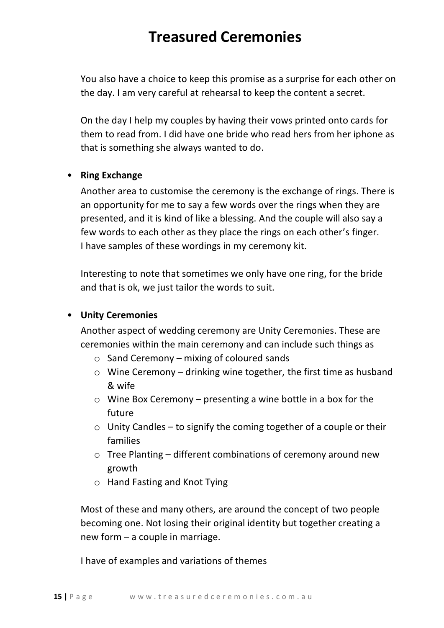You also have a choice to keep this promise as a surprise for each other on the day. I am very careful at rehearsal to keep the content a secret.

On the day I help my couples by having their vows printed onto cards for them to read from. I did have one bride who read hers from her iphone as that is something she always wanted to do.

### • **Ring Exchange**

Another area to customise the ceremony is the exchange of rings. There is an opportunity for me to say a few words over the rings when they are presented, and it is kind of like a blessing. And the couple will also say a few words to each other as they place the rings on each other's finger. I have samples of these wordings in my ceremony kit.

Interesting to note that sometimes we only have one ring, for the bride and that is ok, we just tailor the words to suit.

### • **Unity Ceremonies**

Another aspect of wedding ceremony are Unity Ceremonies. These are ceremonies within the main ceremony and can include such things as

- o Sand Ceremony mixing of coloured sands
- $\circ$  Wine Ceremony drinking wine together, the first time as husband & wife
- o Wine Box Ceremony presenting a wine bottle in a box for the future
- $\circ$  Unity Candles to signify the coming together of a couple or their families
- $\circ$  Tree Planting different combinations of ceremony around new growth
- o Hand Fasting and Knot Tying

Most of these and many others, are around the concept of two people becoming one. Not losing their original identity but together creating a new form – a couple in marriage.

I have of examples and variations of themes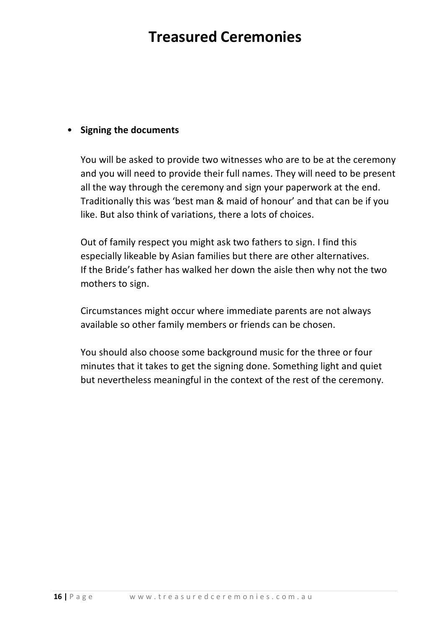### • **Signing the documents**

You will be asked to provide two witnesses who are to be at the ceremony and you will need to provide their full names. They will need to be present all the way through the ceremony and sign your paperwork at the end. Traditionally this was 'best man & maid of honour' and that can be if you like. But also think of variations, there a lots of choices.

Out of family respect you might ask two fathers to sign. I find this especially likeable by Asian families but there are other alternatives. If the Bride's father has walked her down the aisle then why not the two mothers to sign.

Circumstances might occur where immediate parents are not always available so other family members or friends can be chosen.

You should also choose some background music for the three or four minutes that it takes to get the signing done. Something light and quiet but nevertheless meaningful in the context of the rest of the ceremony.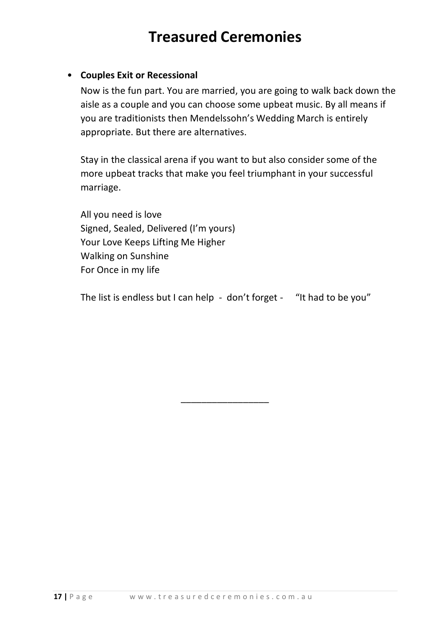### • **Couples Exit or Recessional**

Now is the fun part. You are married, you are going to walk back down the aisle as a couple and you can choose some upbeat music. By all means if you are traditionists then Mendelssohn's Wedding March is entirely appropriate. But there are alternatives.

Stay in the classical arena if you want to but also consider some of the more upbeat tracks that make you feel triumphant in your successful marriage.

All you need is love Signed, Sealed, Delivered (I'm yours) Your Love Keeps Lifting Me Higher Walking on Sunshine For Once in my life

The list is endless but I can help - don't forget - "It had to be you"

\_\_\_\_\_\_\_\_\_\_\_\_\_\_\_\_\_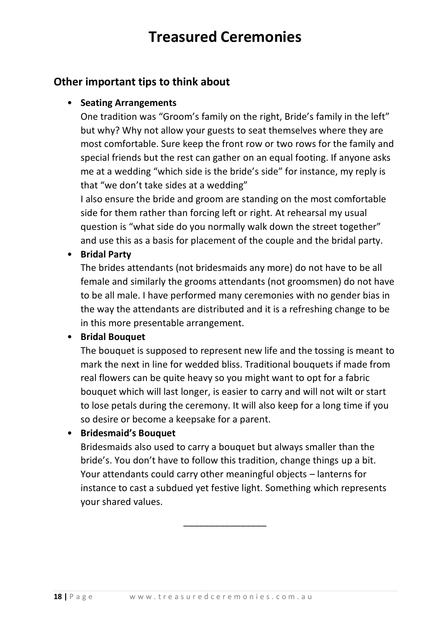### **Other important tips to think about**

### • **Seating Arrangements**

One tradition was "Groom's family on the right, Bride's family in the left" but why? Why not allow your guests to seat themselves where they are most comfortable. Sure keep the front row or two rows for the family and special friends but the rest can gather on an equal footing. If anyone asks me at a wedding "which side is the bride's side" for instance, my reply is that "we don't take sides at a wedding"

I also ensure the bride and groom are standing on the most comfortable side for them rather than forcing left or right. At rehearsal my usual question is "what side do you normally walk down the street together" and use this as a basis for placement of the couple and the bridal party.

### • **Bridal Party**

The brides attendants (not bridesmaids any more) do not have to be all female and similarly the grooms attendants (not groomsmen) do not have to be all male. I have performed many ceremonies with no gender bias in the way the attendants are distributed and it is a refreshing change to be in this more presentable arrangement.

### • **Bridal Bouquet**

The bouquet is supposed to represent new life and the tossing is meant to mark the next in line for wedded bliss. Traditional bouquets if made from real flowers can be quite heavy so you might want to opt for a fabric bouquet which will last longer, is easier to carry and will not wilt or start to lose petals during the ceremony. It will also keep for a long time if you so desire or become a keepsake for a parent.

• **Bridesmaid's Bouquet**

Bridesmaids also used to carry a bouquet but always smaller than the bride's. You don't have to follow this tradition, change things up a bit. Your attendants could carry other meaningful objects – lanterns for instance to cast a subdued yet festive light. Something which represents your shared values.

\_\_\_\_\_\_\_\_\_\_\_\_\_\_\_\_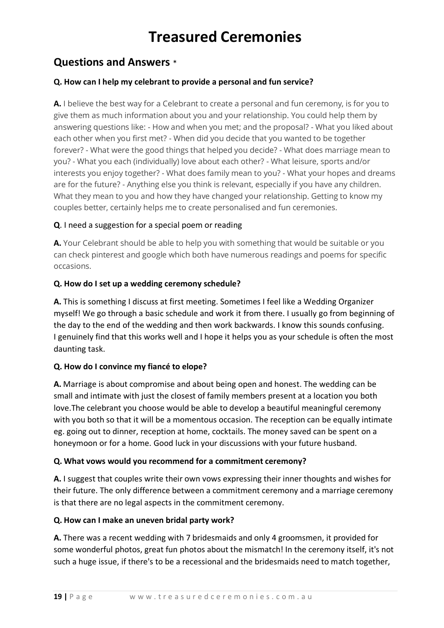## **Questions and Answers** \*

#### **Q. How can I help my celebrant to provide a personal and fun service?**

**A.** I believe the best way for a Celebrant to create a personal and fun ceremony, is for you to give them as much information about you and your relationship. You could help them by answering questions like: - How and when you met; and the proposal? - What you liked about each other when you first met? - When did you decide that you wanted to be together forever? - What were the good things that helped you decide? - What does marriage mean to you? - What you each (individually) love about each other? - What leisure, sports and/or interests you enjoy together? - What does family mean to you? - What your hopes and dreams are for the future? - Anything else you think is relevant, especially if you have any children. What they mean to you and how they have changed your relationship. Getting to know my couples better, certainly helps me to create personalised and fun ceremonies.

#### **Q**. I need a suggestion for a special poem or reading

**A.** Your Celebrant should be able to help you with something that would be suitable or you can check pinterest and google which both have numerous readings and poems for specific occasions.

#### **Q. How do I set up a wedding ceremony schedule?**

**A.** This is something I discuss at first meeting. Sometimes I feel like a Wedding Organizer myself! We go through a basic schedule and work it from there. I usually go from beginning of the day to the end of the wedding and then work backwards. I know this sounds confusing. I genuinely find that this works well and I hope it helps you as your schedule is often the most daunting task.

#### **Q. How do I convince my fiancé to elope?**

**A.** Marriage is about compromise and about being open and honest. The wedding can be small and intimate with just the closest of family members present at a location you both love.The celebrant you choose would be able to develop a beautiful meaningful ceremony with you both so that it will be a momentous occasion. The reception can be equally intimate eg. going out to dinner, reception at home, cocktails. The money saved can be spent on a honeymoon or for a home. Good luck in your discussions with your future husband.

#### **Q. What vows would you recommend for a commitment ceremony?**

**A.** I suggest that couples write their own vows expressing their inner thoughts and wishes for their future. The only difference between a commitment ceremony and a marriage ceremony is that there are no legal aspects in the commitment ceremony.

#### **Q. How can I make an uneven bridal party work?**

**A.** There was a recent wedding with 7 bridesmaids and only 4 groomsmen, it provided for some wonderful photos, great fun photos about the mismatch! In the ceremony itself, it's not such a huge issue, if there's to be a recessional and the bridesmaids need to match together,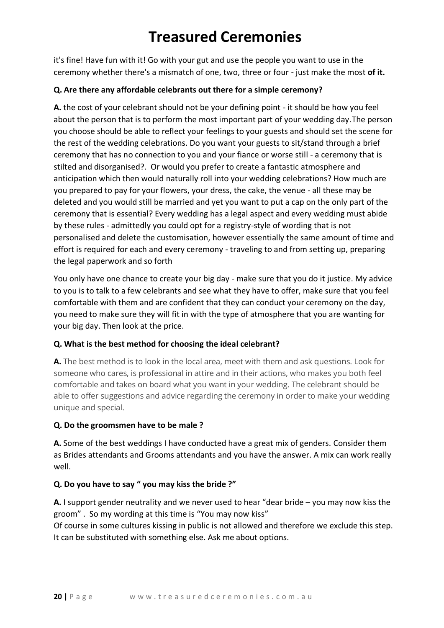it's fine! Have fun with it! Go with your gut and use the people you want to use in the ceremony whether there's a mismatch of one, two, three or four - just make the most **of it.**

#### **Q. Are there any affordable celebrants out there for a simple ceremony?**

**A.** the cost of your celebrant should not be your defining point - it should be how you feel about the person that is to perform the most important part of your wedding day.The person you choose should be able to reflect your feelings to your guests and should set the scene for the rest of the wedding celebrations. Do you want your guests to sit/stand through a brief ceremony that has no connection to you and your fiance or worse still - a ceremony that is stilted and disorganised?. Or would you prefer to create a fantastic atmosphere and anticipation which then would naturally roll into your wedding celebrations? How much are you prepared to pay for your flowers, your dress, the cake, the venue - all these may be deleted and you would still be married and yet you want to put a cap on the only part of the ceremony that is essential? Every wedding has a legal aspect and every wedding must abide by these rules - admittedly you could opt for a registry-style of wording that is not personalised and delete the customisation, however essentially the same amount of time and effort is required for each and every ceremony - traveling to and from setting up, preparing the legal paperwork and so forth

You only have one chance to create your big day - make sure that you do it justice. My advice to you is to talk to a few celebrants and see what they have to offer, make sure that you feel comfortable with them and are confident that they can conduct your ceremony on the day, you need to make sure they will fit in with the type of atmosphere that you are wanting for your big day. Then look at the price.

### **Q. What is the best method for choosing the ideal celebrant?**

**A.** The best method is to look in the local area, meet with them and ask questions. Look for someone who cares, is professional in attire and in their actions, who makes you both feel comfortable and takes on board what you want in your wedding. The celebrant should be able to offer suggestions and advice regarding the ceremony in order to make your wedding unique and special.

### **Q. Do the groomsmen have to be male ?**

**A.** Some of the best weddings I have conducted have a great mix of genders. Consider them as Brides attendants and Grooms attendants and you have the answer. A mix can work really well.

### **Q. Do you have to say " you may kiss the bride ?"**

**A.** I support gender neutrality and we never used to hear "dear bride – you may now kiss the groom" . So my wording at this time is "You may now kiss"

Of course in some cultures kissing in public is not allowed and therefore we exclude this step. It can be substituted with something else. Ask me about options.